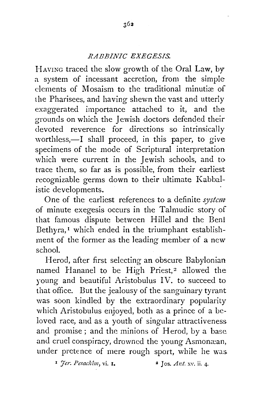## *RABBINIC EXEGESIS.*

HAVING traced the slow growth of the Oral Law, by a system of incessant accretion, from the simple elements of Mosaism to the traditional minutiæ of the Pharisees, and having shevm the vast and utterly exaggerated importance attached to it, and the grounds on which the Jewish doctors defended their devoted reverence for directions so intrinsically worthless,—I shall proceed, in this paper, to give specimens of the mode of Scriptural interpretation which were current in the Jewish schools, and to trace them, so far as is possible, from their earliest recognizable germs down to their ultimate Kabbalistic developments.

One of the earliest references to a definite *system* of minute exegesis occurs in the Talmudic story of that famous dispute between Hillel and the Beni Bethyra,<sup>1</sup> which ended in the triumphant establishment of the former as the leading member of a new school.

Herod, after first selecting an obscure Babylonian named Hananel to be High Priest,<sup>2</sup> allowed the young and beautiful Aristobulus IV. to succeed to that office. But the jealousy of the sanguinary tyrant was soon kindled by the extraordinary popularity which Aristobulus enjoyed, both as a prince of a beloved race, and as a youth of singular attractiveness and promise ; and the minions of Herod, by a base and cruel conspiracy, drowned the young Asmonæan, under pretence of mere rough sport, while he was

 $\mathbf{F}$  *Jer. Pesachim*, vi. **I.** 2 Jos. Ant. xv. ii. 4.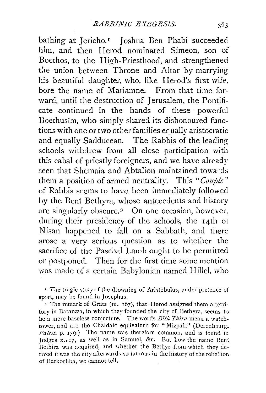bathing at Jericho.<sup>1</sup> Joshua Ben Phabi succeeded him, and then Herod nominated Simeon, son of Bocthos, to the High-Priesthood, and strengthened the union between Throne and Altar by marrying his beautiful daughter, who, like Herod's first wife, bore the name of Mariamne. From that time forward, until the destruction of Jerusalem, the Pontificate continued in the hands of these powerful Doethusim, who simply shared its dishonoured functions with one or two other families equally aristocratic and equally Sadducean. The Rabbis of the leading schools withdrew from all close participation with this cabal of priestly foreigners, and we have already seen that Shemaia and Abtalion maintained towards them a position of armed neutrality. This *"Couple"*  of Rabbis seems to have been immediately followed by the Beni Bethyra, whose antecedents and history are singularly obscure.<sup>2</sup> On one occasion, however, during their presidency of the schools, the 14th ot Nisan happened to fall on a Sabbath, and there arose a very serious question as to whether the sacrifice of the Paschal Lamb ought to be permitted or postponed. Then for the first time some mention was made of a certain Babylonian named Hillel, who

<sup>1</sup> The tragic story of the drowning of Aristobulus, under pretence of sport, may be found in Josephus.

<sup>2</sup> The remark of Grätz (iii. 167), that Herod assigned them a territory in Batanæa, in which they founded the city of Bethyra, seems to be a mere baseless conjecture. The words *Bith Thira* mean a watchtower, and arc the Chaldaic equivalent for "Mizpah." (Derenbourg, *Palest.* p. 179.) The name was therefore common, and is found in Judges x. 17, as well as in Samuel, &c. But how the name Beni Bethira was acquired, and whether the Bethyr from which they derived it was the city afterwards so famous in the history of the rebellion of Barkochba, we cannot tell.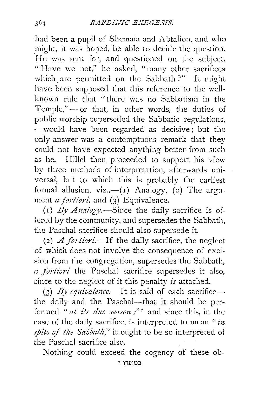had been a pupil of Shemaia and Abtalion, and who might, it was hoped, be able to decide the question. He was sent for, and questioned on the subject. "Have we not," he asked, "many other sacrifices which are permitted on the Sabbath?" It might have been supposed that this reference to the wellknown rule that "there was no Sabbatism in the Temple,"-- or that, in other words, the duties of public worship superseded the Sabbatic regulations, -would have been regarded as decisive; but the only answer was a contemptuous remark that they could not have expected anything better from such as he. Hillcl then proceeded to support his view Ly three methods of interpretation, afterwards universal, but to which this is probably the earliest formal allusion,  $viz, -(1)$  Analogy, (2) The argument *a fortiori*, and (3) Equivalence.

(1)  $By Analygy$ . Since the daily sacrifice is offered by the community, and supersedes the Sabbath, the Paschal sacrifice should also supersede it.

(2) A *}01 tiori.-If* the daily sacrifice, the neglect of which does not involve the consequence of excision from the congregation, supersedes the Sabbath, *c fortiori* the Paschal sacrifice supersedes it also, :.:ince to the neglect of it this penalty *is* attached.

(3) By equivalence. It is said of each sacrificethe daily and the Paschal-that it should be performed " *at its due season*;"<sup>1</sup> and since this, in the case of the daily sacrifice, is interpreted to mean *"in spite of the Sabbath*," it ought to be so interpreted of the Paschal sacrifice also.

Nothing could exceed the cogency of these ob-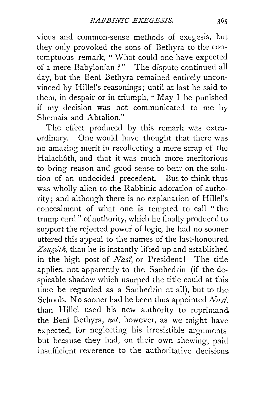vious and common-sense methods of exegesis, but they only provoked the sons of Bethyra to the contemptuous remark, "What could one have expected of a mere Babylonian ?" The dispute continued all day, but the Beni Bethyra remained entirely unconvinced by Hillel's reasonings; until at last he said to them, in despair or in triumph, " May I be punished if my decision was not communicated to me by Shemaia and Abtalion."

The effect produced by this remark was extraordinary. One would have thought that there was no amazing merit in recollecting a mere scrap of the Halachôth, and that it was much more meritorious to bring reason and good sense to bear on the solution of an undecided precedent. But to think thus. was wholly alien to the Rabbinic adoration of authority; and although there *is* no explanation of Hillel's concealment of what one is tempted to call "the trump card" of authority, which he finally produced to support the rejected power of logic, he had no sooner uttered this appeal to the names of the last-honoured Zougôth, than he is instantly lifted up and established in the high post of *Nas£,* or President! The title applies, not apparently to the Sanhedrin (if the despicable shadow which usurped the title could at this time be regarded as a Sanhedrin at all), but to the Schools. No sooner had he been thus appointed *Nasî*, than Hillel used his new authority to reprimand the Beni Bethyra, *not*, however, as we might have expected, for neglecting his irresistible arguments but because they had, on their own shewing, paid insufficient reverence to the authoritative decisions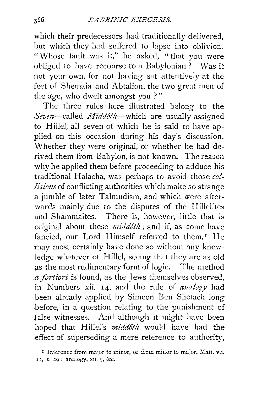which their predecessors had traditionally delivered, but which they had suffered to lapse into oblivion. "Whose fault was it," he asked, " that you were obliged to have recourse to a Babylonian? Was it not your own, for not having sat attentively at the feet of Shemaia and Abtalion, the two great men of the age, who dwelt amongst you ? "

The three rules here illustrated belong to the Seven-called *Middôth*-which are usually assigned to Hillel, all seven of which he is said to have applied on this occasion during his day's discussion. Whether they were original, or whether he had derived them from Babylon, is not known. The reason why he applied them before proceeding to adduce his traditional Halacha, was perhaps to avoid those *collisions* of conflicting authorities which make so strange a jumble of later Talmudism, and which were afterwards mainly due to the disputes of the Hillelites and Shammaites. There is, however, little that is .original about these *midd6th;* and if, as some have fancied, our Lord Himself referred to them,<sup>I</sup> He may most certainly have done so without any knowledge whatever of Hillel, seeing that they are as old as the most rudimentary form of logic. The method *a fortiori* is found, as the Jews themselves observed, in Numbers xii. 14, and the rule of *analogy* had been already applied by Simeon Ben Shetach long .before, in a question relating to the punishment of false witnesses. And although it might have been hoped that Hillel's *middoth* would have had the effect of superseding a mere reference to authority,

<sup>&</sup>lt;sup>1</sup> Inference from major to minor, or from minor to major, Matt. vii. .II, x. :29; analogy, xii. 5, &c.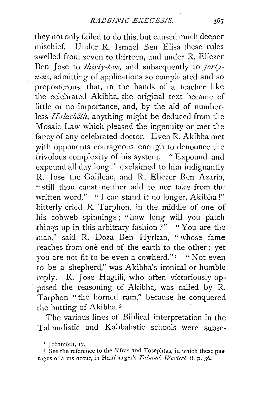they not only failed to do this, but caused much deeper mischief. Under R. Ismael Ben Elisa these rules swelled from seven to thirteen, and under R. Eliezer Ben Jose to *thirty-two*, and subsequently to *fortyuinc,* admitting of applications so complicated and so preposterous, that, in the hands of a teacher like the celebrated Akibha, the original text became of little or no importance, and, by the aid of numberless *Halachôth*, anything might be deduced from the Mosaic Law which pleased the ingenuity or met the fancy of any celebrated doctor. Even R. Akibha met with opponents courageous enough to denounce the frivolous complexity of his system. "Expound and expound all day long!" exclaimed to him indignantly R. Jose the Galilean, and R. Eliezer Ben Azaria, " still thou canst ·neither add to nor take from the written word." "I can stand it no longer, Akibha!" bitterly cried R. Tarphon, in the middle of one of his cobweb spinnings ; "how long will you patch things up in this arbitrary fashion ?" "You are the man," said R. Doza Ben Hyrkan, "whose fame reaches from one end of the earth to the other; yet you are not fit to be even a cowherd."<sup>1</sup> "Not even to be a shepherd," was Akibha's ironical or humble reply. R. Jose Haglili, who often victoriously opposed the reasoning of Akibha, was called by R. Tarphon "the horned ram," because he conquered the butting of Akibha. 2

The various lines of Biblical interpretation in the Talmudistic and Kabbalistic schools were subse-

<sup>&</sup>lt;sup>1</sup> Jebamôth, 17.

<sup>&</sup>lt;sup>2</sup> See the reference to the Sifras and Tosephtas, in which these passages of arms occur, in Hamburger's *Talmud. Worterb.* ii. p. 36.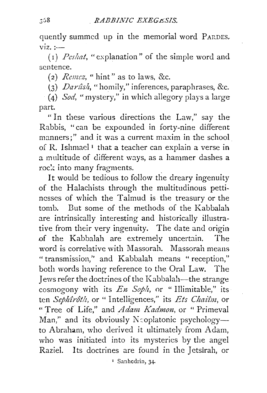quently summed up in the memorial word PARDES.  $viz. :=$ 

(I) *Pes hat,* "explanation" of the simple word and sentence.

(2) *Remez,* "hint" as to laws, &c.

(3) *Dan2sh,* "homily," inferences, paraphrases, &c.

(4) *Sod,* "mystery," in which allegory plays a large part.

" In these various directions the Law," say the Rabbis, "can be expounded in forty-nine different manners;" and it was a current maxim in the school of R. Ishmael<sup>1</sup> that a teacher can explain a verse in a multitude of different ways, as a hammer dashes a rock into many fragments.

It would be tedious to follow the dreary ingenuity of the Halachists through the multitudinous pettincsscs of which the Talmud is the treasury or the tomb. But some of the methods of the Kabbalah are intrinsically interesting and historically illustrative from their very ingenuity. The date and origin of the Kabbalah are extremely uncertain. The word is correlative with Massorah. Massorah means " transmission,'' and Kabbalah means " reception," both words having reference to the Oral Law. The Jews refer the doctrines of the Kabbalah-the strange cosmogony with its  $En$  Soph, or " Illimitable," its ten *Sephtroth,* or " Intelligences," its *Ets Chaifm,* or "Tree of Life," and *Adam Kadmon*, or " Primeval Man," and its obviously N coplatonic psychology--to Abraham, who derived it ultimately from Adam, who was initiated into its mysteries by the angel Raziel. Its doctrines are found in the Jetsîrah, or

1 Sanhcdrin, 34·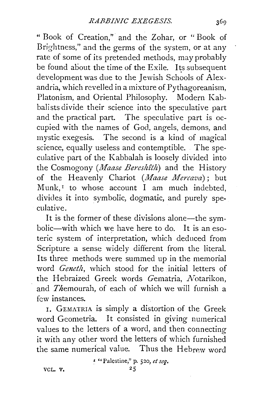" Book of Creation," and the Zohar, or " Book of Brightness," and the germs of the system, or at any rate of some of its pretended methods, may probably be found about the time of the Exile. Its subsequent development was due to the Jewish Schools of Alexandria, which revelled in a mixture of Pythagoreanism, Platonism, and Oriental Philosophy. Modern Kabbalists divide their science into the speculative part and the practical part. The speculative part is occupied with the names of God, angels, demons, and mystic exegesis. The second is a kind of magical science, equally useless and contemptible. The speculative part of the Kabbalah is loosely divided into the Cosmogony *(Maase Bereshtth)* and the History of the Heavenly Chariot *(Maase Mercava);* but Munk, $I$  to whose account I am much indebted, divides it into symbolic, dogmatic, and purely speculative.

It is the former of these divisions alone—the symbolic-with which we have here to do. It is an esoteric system of interpretation, which deduced from Scripture a sense widely different from the literal. Its three methods were summed up in the memorial word *Geneth,* which stood for the initial letters of the Hebraized Greek words Gematria, Notarikon, and *Themourah*, of each of which we will furnish a few instances.

r. GEMATRIA is simply a distortion of the Greek word Geometria. It consisted in giving numerical values to the letters of a word, and then connecting it with any other word the letters of which furnished the same numerical value. Thus the Hebrew word

> ' "Palestine," p. 520, *et seq. zs*

VCL. V,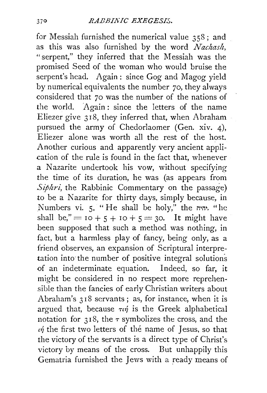for Messiah furnished the numerical value 358; and as this was also furnished by the word *Nachash*, "serpent," they inferred that the Messiah was the promised Seed of the woman who would bruise the serpent's head. Again: since Gog and Magog yield by numerical equivalents the number 70, they always considered that 70 was the number of the nations of the world. Again : since the letters of the name Eliezer give 318, they inferred that, when Abraham pursued the army of Chedorlaomer (Gen. xiv. 4), Eliezer alone was worth all the rest of the host. Another curious and apparently very ancient application of the rule is found in the fact that, whenever a Nazarite undertook his vow, without specifying the time of its duration, he was (as appears from *Siphri,* the Rabbinic Commentary on the passage) to be a Nazarite for thirty days, simply because, in Numbers vi. 5. "He shall be holy," the  $\cdot$ "he shall be," =  $10 + 5 + 10 + 5 = 30$ . It might have been supposed that such a method was nothing, in fact, but a harmless play of fancy, being only, as a friend observes, an expansion of Scriptural interpretation into the number of positive integral solutions of an indeterminate equation. Indeed, so far, it might be considered in no respect more reprehensible than the fancies of early Christian writers about Abraham's 318 servants ; as, for instance, when it is argued that, because  $\tau_{\text{th}}$  is the Greek alphabetical notation for  $318$ , the  $\tau$  symbolizes the cross, and the  $\eta$  the first two letters of the name of Jesus, so that the victory of the servants is a direct type of Christ's victory by means of the cross. But unhappily this Gematria furnished the Jews with a ready means of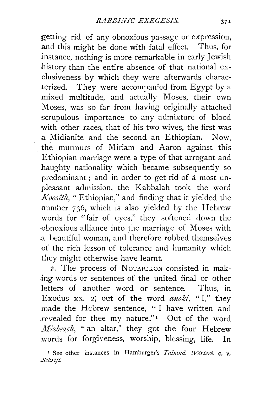getting rid of any obnoxious passage or expression, and this might be done with fatal effect. Thus, for instance, nothing is more remarkable in early Jewish history than the entire absence of that national exclusiveness by which they were afterwards charac- .terized. They were accompanied from Egypt by a mixed multitude, and actually Moses, their own Moses, was so far from having originally attached scrupulous importance to any admixture of blood with other races, that of his two wives, the first was a Midianite and the second an Ethiopian. Now, the murmurs of Miriam and Aaron against this Ethiopian marriage were a type of that arrogant and haughty nationality which became subsequently so .predominant ; and in order to get rid of a most unpleasant admission, the Kabbalah took the word *Koosîth*, "Ethiopian," and finding that it yielded the number 736, which is also yielded by the Hebrew words for "fair of eyes," they softened down the -obnoxious alliance into the marriage of Moses with .a beautiful woman, and therefore robbed themselves of the rich lesson of tolerance and humanity which .they might otherwise have learnt.

2. The process of NOTARIKON consisted in mak--ing words or sentences of the united final or other letters of another word or sentence. Thus, in Exodus xx. 2; out of the word *anoki*, "I," they made the Hebrew sentence, "I have written and revealed for thee my nature."<sup>1</sup> Out of the word *Mizbeach,* "an altar," they got the four Hebrew words for forgiveness, worship, blessing, life. In

<sup>&</sup>lt;sup>1</sup> I See other instances in Hamburger's *Talmud. Wörterb.* c. v. *.Scluijt.*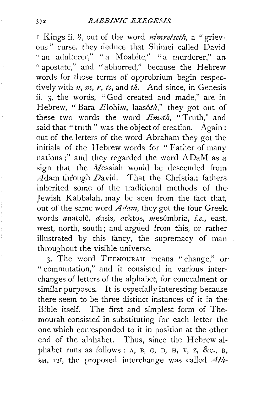## *RABBIA7C EXEGESIS.*

1 Kings ii. 8, out of the word *nimretseth*, a "grievous" curse, they deduce that Shimei called David "an adulterer," "a Moabite," "a murderer," an "apostate," and "abhorred," because the Hebrew words for those terms of opprobrium begin respectively with  $n, m, r, ts$ , and  $th$ . And since, in Genesis ii. 3, the words, " God created and made," are in Hebrew, "Bara Elohim, laasôth," they got out of these two words the word *Emeth,* " Truth," and said that "truth" was the object of creation. Again: out of the letters of the word Abraham they got the initials of the Hebrew words for "Father of many nations;" and they regarded the word ADaM as a sign that the Messiah would be descended from  $\widetilde{A}$ dam through  $D$ avid. That the Christian fathers inherited some of the traditional methods of the Jewish Kabbalah, may be seen from the fact that, out of the same word *A dam,* they got the four Greek words anatolê, dusis, arktos, mesêmbria, i.e., east, west, north, south; and argued from this, or rather illustrated by this fancy, the supremacy of man throughout the visible universe.

3. The word THEMOURAH means "change," or "commutation," and it consisted in various interchanges of letters of the alphabet, for concealment or similar purposes. It is especially interesting because there seem to be three distinct instances of it in the Bible itself. The first and simplest form of Themourah consisted in substituting for each letter the one which corresponded to it in position at the other end of the alphabet. Thus, since the Hebrew alphabet runs as follows : A, B, G, D, H, V, Z, &c., R, SH, TII, the proposed interchange was called *Atlz-.*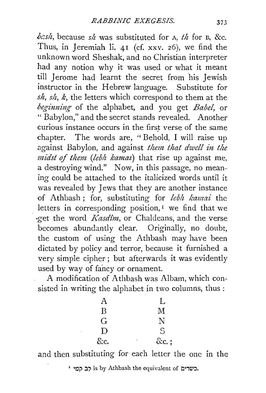$bcs/h$ , because  $s/h$  was substituted for A,  $th$  for B, &c. Thus, in Jeremiah li. 41 (cf. xxv. 26), we find the unknown word Sheshak, and no Christian interpreter had any notion why it was used or what it meant till Jerome had learnt the secret from his Jewish instructor in the Hebrew language. Substitute for *sh, sh, k,* the letters which correspond to them at the *beginni1tg* of the alphabet, and you get *Babel,* or " Babylon," and the secret stands revealed. Another curious instance occurs in the first verse of the same chapter. The words are, " Behold, I will raise up against Babylon, and against *them that dwell in the midst of them (lebh kamaz)* that rise up against me, a destroying wind." Now, in this passage, no meaning could be attached to the italicized words until it was revealed by Jews that they are another instance of Athbash; for, substituting for *lebh kamai* the letters in corresponding position, $<sup>I</sup>$  we find that we</sup> ·get the word *Kasdîm*, or Chaldeans, and the verse becomes abundantly clear. Originally, no doubt, the custom of using the Athbash may have been dictated by policy and terror, because it furnished a very simple cipher; but afterwards it was evidently used by way of fancy or ornament.

A modification of Athbash was Albam, which consisted in writing the alphabet in two columns, thus :

| Α   |   | L            |
|-----|---|--------------|
| B   |   | $\mathbf{M}$ |
| G   |   | N            |
| D   |   | S            |
| &c. | ٠ | $\&c.$ ;     |

and then substituting for each letter the one in the

' 10p is by Athbash the equivalent of כב קמי.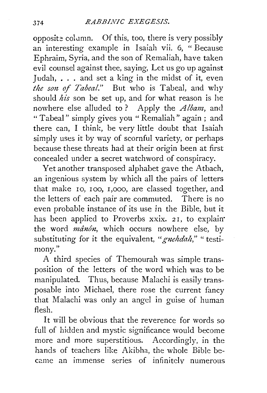opposite column. Of this, too, there is very possibly an interesting example in Isaiah vii. 6, " Because Ephraim, Syria, and the son of Remaliah, have taken evil counsel against thee, saying, Let us go up against Judah,  $\ldots$  and set a king in the midst of it, even *the son of Tabeal.*" But who is Tabeal, and why should *hi's* son be set up, and for what reason is he nowhere else alluded to? Apply the *Albam,* and "Tabeal" simply gives you "Remaliah" again; and there can, I think, be very little doubt that Isaiah simply uses it by way of scornful variety, or perhaps because these threats had at their origin been at first concealed under a secret watchword of conspiracy.

Yet another transposed alphabet gave the Atbach, an ingenious system by which all the pairs of letters that make IO, IOO, I,000, are classed together, and the letters of each pair are commuted. There is no even probable instance of its use *in* the Bible, but it has been applied to Proverbs xxix. 21, to explain the word *mânôn*, which occurs nowhere else, by substituting for it the equivalent, "*gnehdah*," "testimony. "

A third species of Themourah was simple transposition of the letters of the word which was to be manipulated. Thus, because Malachi is easily transposable into Michael, there rose the current fancy that Malachi was only an angel in guise of human flesh.

It will be obvious that the reverence for words so full of hidden and mystic significance would become more and more superstitious. Accordingly, in the hands of teachers like Akibha, the whole Bible became an immense series of infinitely numerous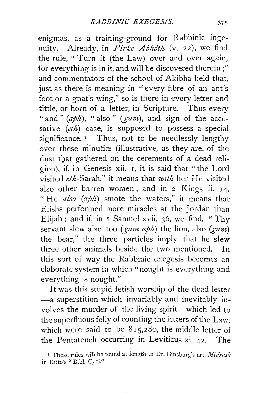enigmas, as a training-ground for Rabbinic ingenuity. Already, in *Pirke Abhôth* (v. 22), we find the rule, "Turn it (the Law) over and over again, for everything is in it, and will be discovered therein;" and commentators of the school of Akibha held that, just as there is meaning in "every fibre of an ant's foot or a gnat's wing," so is there in every letter and tittle, or horn of a letter, in Scripture. Thus every " and " (aph), " also " (gam), and sign of the accusative *(eth)* case, is supposed to possess a special significance.<sup>1</sup> Thus, not to be needlessly lengthy over these minutiæ (illustrative, as they are, of the dust that gathered on the cerements of a dead religion), if, in Genesis xii. I, it is said that "the Lord visited eth-Sarah," it means that *with* her He visited also other barren women; and in 2 Kings ii. 14, " He *also (aph)* smote the waters," it means that Elisha performed more miraCles at the Jordan than Elijah; and if, in I Samuel xvii. 36, we find, " Thy servant slew also too (*gam aph*) the lion, also (*gam*) the bear,'' the three particles imply that he slew three other animals beside the two mentioned. In this sort of way the Rabbinic exegesis becomes an elaborate system in which "nought is everything and everything is nought."

It was this stupid fetish-worship of the dead letter -a superstition which invariably and inevitably involves the murder of the living spirit-which led to the superfluous folly of counting the letters of the Law, which were said to be  $815,280$ , the middle letter of the Pentateuch occurring in Leviticus xi. 42. The

<sup>r</sup>These rules will be found at length in Dr. Ginsburg's art. *Midrasli*  in Kitto's "Bibl. Cycl."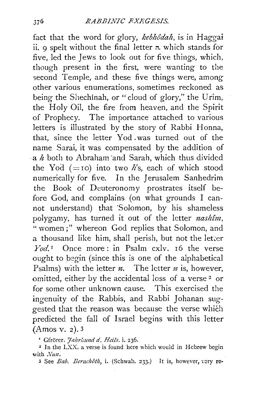fact that the word for glory, *kebhôdah*, is in Haggai ii. 9 spelt without the final letter  $\pi$ , which stands for five, led the Jews to look out for five things, which, though present in the first, were wanting to the second Temple, and these five things were, among other various enumerations, sometimes reckoned as being the Shechinah, or "cloud of glory," the Urim, the Holy Oil, the fire from heaven, and the Spirit of Prophecy. The importance attached to various letters is illustrated by the story of Rabbi Honna, that, since the letter Yod was turned out of the name Sarai, it was compensated by the addition of . a *h* both to Abraham ·and Sarah, which thus divided the Yod  $(=$  ro) into two *h*'s, each of which stood numerically for five. In the Jerusalem Sanhedrim the Book of Deuteronomy prostrates itself before God, and complains (on what grounds I cannot understand) that 'Solomon, by his shameless polygamy, has turned it out of the letter *nashtm,*  " women ;" whereon God replies that Solomon, and a thousand like him, shall perish, but not the letter *Yod.* 1 Once more: in Psalm cxlv. 16 the *verse*  ought to begin (since this is one of the alphabetical Psalms) with the letter  $n$ . The letter  $n$  is, however, omitted, either by the accidental loss of a verse 2 or for some other unknown cause. This exercised the ingenuity of the Rabbis, and Rabbi Johanan suggested that the reason was because the verse which predicted the fall of Israel begins with this letter (Amos v. *z).* 3

<sup>1</sup> Gfrörer. *Jahrhund d. Heils.* i. 236.

2 Jn the LXX. a verse is found here which would in Hebrew begin with  $Nun$ .

3 See *Bab. Berachôth*, *i.* (Schwab. 233.) It is, however, very re-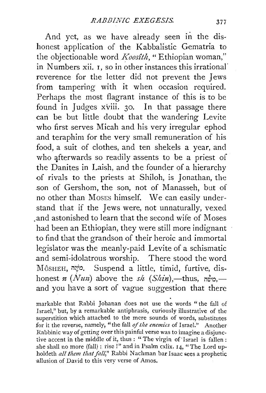And yet, as we have already seen in the dishonest application of the Kabbalistic Gematria to the objectionable word *Koosîth*, "Ethiopian woman," in Numbers xii. I, so in other instances this irrational· reverence for the letter did not prevent the Jews from tampering with it when occasion required. Perhaps the most flagrant instance of this is to be found in Judges xviii. 30. In that passage there can be but little doubt that the wandering Levite who first serves Micah and his very irregular ephod and teraphim for the very small remuneration of his food, a suit of clothes, and ten shekels a year, and who afterwards so readily assents to be a priest of the Danites in Laish, and the founder of a hierarchy of rivals to the priests at Shiloh, is Jonathan, the .son of Gershom, the son, not of Manasseh, but of no other than Moses himself. We can easily understand that if the Jews were, not unnaturally, vexed .and astonished to learn that the second wife of Moses had been an Ethiopian, they were still more indignant to find that the grandson of their heroic and immortal legislator was the meanly-paid Levite of a schismatic and semi-idolatrous worship. There stood the word MôSHEH, מֹשֶׁה. Suspend a little, timid, furtive, dishonest *n* (Nun) above the *sh* (Shin),—thus,  $\vec{w}$ <sup>o</sup>, and you have a sort of vague suggestion that there

markable that Rabbi Johanan does not use the words "the fall of Israel," but, by a remarkable antiphrasis, curiously illustrative of the superstition which attached to the mere sounds of words, substitutes for it the reverse, namely, "the fall *of the enemies* of Israel." Another Rabbinic way of getting over this painful verse was to imagine a disjunctive accent in the middle of it, thus: "The virgin of'Israel is fallen: she shall no more (fall) : rise !" and in Psalm cxlix.  $I_4$ , "The Lord upholdeth *all them that fall*," Rabbi Nachman bar Isaac sees a prophetic allusion of David to this very verse of Amos.